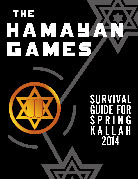## The HAMAPAW EAMES

### SURVIVAL GUIDE FOR S P R I N G K A L L A H 2014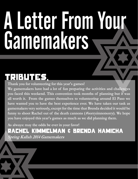# A Letter From Your Gamemakers

### Tributes,

**Thank you for volunteering for this year's games! We gamemakers have had a lot of fun preparing the activities and challenges you faced this weekend. This convention took months of planning but it was all worth it. From the games themselves to volunteering around El Paso we have wanted you to have the best experience ever. We have taken our task as gamemakers very seriously, except for the time that Brenda decided it would be funny to shoot Rachel out of the death cannons (#sorryimnotsorry). We hope you have enjoyed this year's games as much as we did planning them.**

**As always: may the odds be ever in your favor!** 

Rachel Kimmelman & Brenda Hamicha **Spring Kallah 2014 Gamemakers**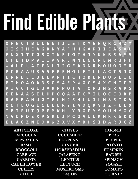# Find Edible Plants

**X H N C T B L L E N T I L S T K Y G N Q R C H D M O I S J H E A G R N Y A F H H G A P I I E A S A U F N X I T I G S O I N F I G I H J Y K K B R A Y S C H E T D P V I I A V R J N N E G O P E M R U F H W A U P L A T E N L T J G E A D N R M O U O Q M R P C B A A U R A S E R E W O L F I L U A C T S J O E P N B L L B E E A R T I C H O K E P D U S E I O P T H O A O A N S O S A E P W G C S A X C H I F M P I V C T G I J A R P P O T A T O P I N S R A P S E E N A A S E L H D O Q A A F C M I L O C C O R B R A M R A N U G M E L H J R H L U J L N S R T K V K O T L U G I C E L E R Y I A D Q K V I Z F L L X T B I E U T Q P P M W H L Y B G P Y S O U N Y O C N V O R D E X P S R U I P C O A U L K N K K S K D E L A C Z N E O X W Z X V X Y B H S I D A R J C Z** 

| <b>ARTICHOKE</b>   | <b>CHIVES</b>      | <b>PARSNIP</b> |
|--------------------|--------------------|----------------|
| <b>ARUGULA</b>     | <b>CUCUMBER</b>    | <b>PEAS</b>    |
| <b>ASPARAGUS</b>   | <b>EGGPLANT</b>    | <b>PEPPER</b>  |
| <b>BASIL</b>       | <b>GINGER</b>      | <b>POTATO</b>  |
| <b>BROCCOLI</b>    | <b>HORSERADISH</b> | <b>PUMPKIN</b> |
| <b>CABBAGE</b>     | <b>JALAPENO</b>    | <b>RADISH</b>  |
| <b>CARROTS</b>     | <b>LENTILS</b>     | <b>SPINACH</b> |
| <b>CAULIFLOWER</b> | <b>LETTUCE</b>     | <b>SQUASH</b>  |
| <b>CELERY</b>      | <b>MUSHROOMS</b>   | <b>TOMATO</b>  |
| <b>CHILI</b>       | <b>ONION</b>       | <b>TURNIP</b>  |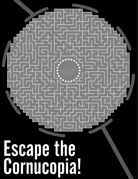# Escape the Cornucopia!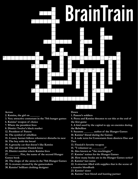

### **Across**

- **2. Katniss, the girl on \_\_\_\_\_\_\_**
- **3. Very attractive contestant in the 75th hunger games**
- **6. Katniss' weapon of choice**
- **7. Where the president lives**
- **8. District Twelve's black market**
- **12. President of Panem**
- **14. The symbol of rebellion**
- **15. A nasty hornet follows whomever disturbs its nest**
- **18. The boy with the bread**
- **19. A grouchy cat that doesn't like Katniss**
- **24. The old woman Finnick loves**
- **25. District number where Katniss lives**
- **27. \_\_\_\_\_\_\_\_ Fire, the name of the second Hunger Games book**
- **28. The shape of the arena in the 75th Hunger Games**
- **29. A creature created by the gamemakers**
- **30. Katniss' brilliant clothing designer**

### **Down**

**1. Panem's soldiers**

**4. Peeta and Katniss threaten to eat this at the end of the first game**

**5. A bird used by the capital to spy on enemies during the Rebellion**

- **9. Suzanne \_\_\_\_\_\_\_ author of the Hunger Games**
- **10. Katniss' friend during the Games**

**11. A rude term for Contestants from districts One and Two**

- **13. Finnick's favorite weapon**
- **15. "I volunteer as \_\_\_\_\_\_\_\_\_!"**
- **16. Also known as "the mockingjay"**
- **17. Katniss' trainer for the Hunger Games**
- **20. How many books are in the Hunger Games series?**
- **21. Katniss' last name**
- **22. A structure filled with supplies that is the scene of**
- **a massive bloodbath**
- **23. Katniss' sister**
- **26. Katniss' best friend and hunting partner**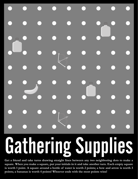# Gathering Supplies

**Get a friend and take turns drawing straight lines between any two neighboring dots to make a square. When you make a square, put your initials in it and take another turn. Each empty square is worth 1 point. A square around a bottle of water is worth 2 points; a bow and arrow is worth 3 points; a bananas is worth 4 points! Whoever ends with the most points wins!**